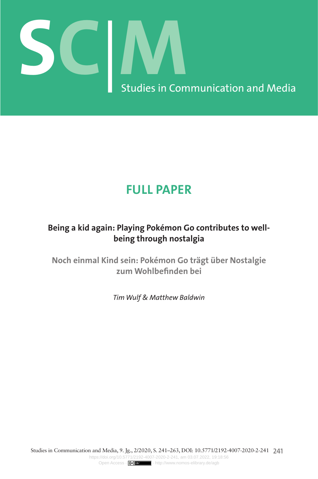

# **FULL PAPER**

# **Being a kid again: Playing Pokémon Go contributes to wellbeing through nostalgia**

**Noch einmal Kind sein: Pokémon Go trägt über Nostalgie zum Wohlbefinden bei**

*Tim Wulf & Matthew Baldwin*

Studies in Communication and Media, 9. Jg., 2/2020, S. 241–263, DOI: 10.5771/2192-4007-2020-2-241 **241** <https://doi.org/10.5771/2192-4007-2020-2-241>, am 03.07.2022, 19:18:56 Open Access -  $(x)$  **x** -<http://www.nomos-elibrary.de/agb>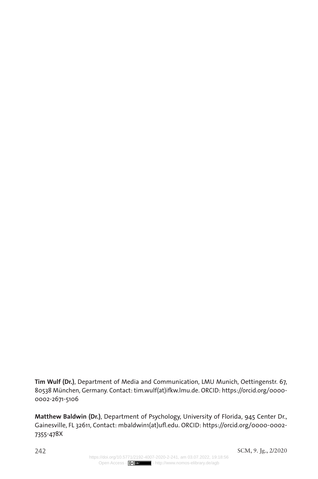**Tim Wulf (Dr.)**, Department of Media and Communication, LMU Munich, Oettingenstr. 67, 80538 München, Germany. Contact: tim.wulf(at)ifkw.lmu.de. ORCID: [https://orcid.org/0000-](https://orcid.org/0000-0002-2671-5106) [0002-2671-5106](https://orcid.org/0000-0002-2671-5106)

**Matthew Baldwin (Dr.)**, Department of Psychology, University of Florida, 945 Center Dr., Gainesville, FL 32611, Contact: [mbaldwin1\(at\)ufl.edu](mailto:mbaldwin1%40ufl.edu?subject=). ORCID: [https://orcid.org/0000-0002-](https://orcid.org/0000-0002-7355-478X) [7355-478X](https://orcid.org/0000-0002-7355-478X)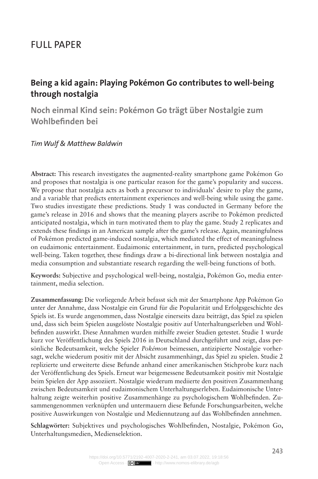# Full Paper

# **Being a kid again: Playing Pokémon Go contributes to well-being through nostalgia**

**Noch einmal Kind sein: Pokémon Go trägt über Nostalgie zum Wohlbefinden bei**

#### *Tim Wulf & Matthew Baldwin*

**Abstract:** This research investigates the augmented-reality smartphone game Pokémon Go and proposes that nostalgia is one particular reason for the game's popularity and success. We propose that nostalgia acts as both a precursor to individuals' desire to play the game, and a variable that predicts entertainment experiences and well-being while using the game. Two studies investigate these predictions. Study 1 was conducted in Germany before the game's release in 2016 and shows that the meaning players ascribe to Pokémon predicted anticipated nostalgia, which in turn motivated them to play the game. Study 2 replicates and extends these findings in an American sample after the game's release. Again, meaningfulness of Pokémon predicted game-induced nostalgia, which mediated the effect of meaningfulness on eudaimonic entertainment. Eudaimonic entertainment, in turn, predicted psychological well-being. Taken together, these findings draw a bi-directional link between nostalgia and media consumption and substantiate research regarding the well-being functions of both.

**Keywords:** Subjective and psychological well-being, nostalgia, Pokémon Go, media entertainment, media selection.

**Zusammenfassung:** Die vorliegende Arbeit befasst sich mit der Smartphone App Pokémon Go unter der Annahme, dass Nostalgie ein Grund für die Popularität und Erfolgsgeschichte des Spiels ist. Es wurde angenommen, dass Nostalgie einerseits dazu beiträgt, das Spiel zu spielen und, dass sich beim Spielen ausgelöste Nostalgie positiv auf Unterhaltungserleben und Wohlbefinden auswirkt. Diese Annahmen wurden mithilfe zweier Studien getestet. Studie 1 wurde kurz vor Veröffentlichung des Spiels 2016 in Deutschland durchgeführt und zeigt, dass persönliche Bedeutsamkeit, welche Spieler *Pokémon* beimessen, antizipierte Nostalgie vorhersagt, welche wiederum positiv mit der Absicht zusammenhängt, das Spiel zu spielen. Studie 2 replizierte und erweiterte diese Befunde anhand einer amerikanischen Stichprobe kurz nach der Veröffentlichung des Spiels. Erneut war beigemessene Bedeutsamkeit positiv mit Nostalgie beim Spielen der App assoziiert. Nostalgie wiederum mediierte den positiven Zusammenhang zwischen Bedeutsamkeit und eudaimonischem Unterhaltungserleben. Eudaimonische Unterhaltung zeigte weiterhin positive Zusammenhänge zu psychologischem Wohlbefinden. Zusammengenommen verknüpfen und untermauern diese Befunde Forschungsarbeiten, welche positive Auswirkungen von Nostalgie und Mediennutzung auf das Wohlbefinden annehmen.

**Schlagwörter:** Subjektives und psychologisches Wohlbefinden, Nostalgie, Pokémon Go, Unterhaltungsmedien, Medienselektion.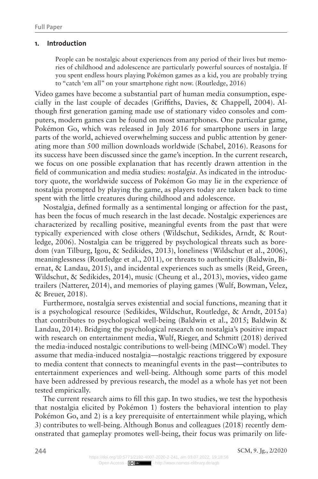#### **1. Introduction**

People can be nostalgic about experiences from any period of their lives but memories of childhood and adolescence are particularly powerful sources of nostalgia. If you spent endless hours playing Pokémon games as a kid, you are probably trying to "catch 'em all" on your smartphone right now. (Routledge, 2016)

Video games have become a substantial part of human media consumption, especially in the last couple of decades (Griffiths, Davies, & Chappell, 2004). Although first generation gaming made use of stationary video consoles and computers, modern games can be found on most smartphones. One particular game, Pokémon Go, which was released in July 2016 for smartphone users in large parts of the world, achieved overwhelming success and public attention by generating more than 500 million downloads worldwide (Schabel, 2016). Reasons for its success have been discussed since the game's inception. In the current research, we focus on one possible explanation that has recently drawn attention in the field of communication and media studies: *nostalgia*. As indicated in the introductory quote, the worldwide success of Pokémon Go may lie in the experience of nostalgia prompted by playing the game, as players today are taken back to time spent with the little creatures during childhood and adolescence.

Nostalgia, defined formally as a sentimental longing or affection for the past, has been the focus of much research in the last decade. Nostalgic experiences are characterized by recalling positive, meaningful events from the past that were typically experienced with close others (Wildschut, Sedikides, Arndt, & Routledge, 2006). Nostalgia can be triggered by psychological threats such as boredom (van Tilburg, Igou, & Sedikides, 2013), loneliness (Wildschut et al., 2006), meaninglessness (Routledge et al., 2011), or threats to authenticity (Baldwin, Biernat, & Landau, 2015), and incidental experiences such as smells (Reid, Green, Wildschut, & Sedikides, 2014), music (Cheung et al., 2013), movies, video game trailers (Natterer, 2014), and memories of playing games (Wulf, Bowman, Velez, & Breuer, 2018).

Furthermore, nostalgia serves existential and social functions, meaning that it is a psychological resource (Sedikides, Wildschut, Routledge, & Arndt, 2015a) that contributes to psychological well-being (Baldwin et al., 2015; Baldwin & Landau, 2014). Bridging the psychological research on nostalgia's positive impact with research on entertainment media, Wulf, Rieger, and Schmitt (2018) derived the media-induced nostalgic contributions to well-being (MINCoW) model. They assume that media-induced nostalgia—nostalgic reactions triggered by exposure to media content that connects to meaningful events in the past—contributes to entertainment experiences and well-being. Although some parts of this model have been addressed by previous research, the model as a whole has yet not been tested empirically.

The current research aims to fill this gap. In two studies, we test the hypothesis that nostalgia elicited by Pokémon 1) fosters the behavioral intention to play Pokémon Go, and 2) is a key prerequisite of entertainment while playing, which 3) contributes to well-being. Although Bonus and colleagues (2018) recently demonstrated that gameplay promotes well-being, their focus was primarily on life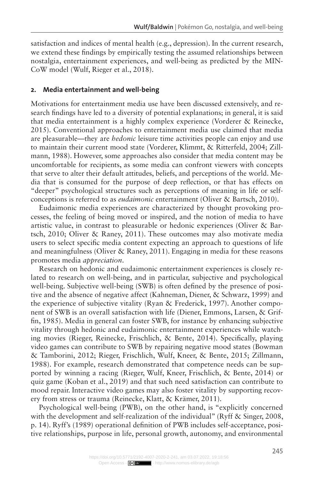satisfaction and indices of mental health (e.g., depression). In the current research, we extend these findings by empirically testing the assumed relationships between nostalgia, entertainment experiences, and well-being as predicted by the MIN-CoW model (Wulf, Rieger et al., 2018).

#### **2. Media entertainment and well-being**

Motivations for entertainment media use have been discussed extensively, and research findings have led to a diversity of potential explanations; in general, it is said that media entertainment is a highly complex experience (Vorderer & Reinecke, 2015). Conventional approaches to entertainment media use claimed that media are pleasurable—they are *hedonic* leisure time activities people can enjoy and use to maintain their current mood state (Vorderer, Klimmt, & Ritterfeld, 2004; Zillmann, 1988). However, some approaches also consider that media content may be uncomfortable for recipients, as some media can confront viewers with concepts that serve to alter their default attitudes, beliefs, and perceptions of the world. Media that is consumed for the purpose of deep reflection, or that has effects on "deeper" psychological structures such as perceptions of meaning in life or selfconceptions is referred to as *eudaimonic* entertainment (Oliver & Bartsch, 2010).

Eudaimonic media experiences are characterized by thought provoking processes, the feeling of being moved or inspired, and the notion of media to have artistic value, in contrast to pleasurable or hedonic experiences (Oliver & Bartsch, 2010; Oliver & Raney, 2011). These outcomes may also motivate media users to select specific media content expecting an approach to questions of life and meaningfulness (Oliver & Raney, 2011). Engaging in media for these reasons promotes media *appreciation*.

Research on hedonic and eudaimonic entertainment experiences is closely related to research on well-being, and in particular, subjective and psychological well-being. Subjective well-being (SWB) is often defined by the presence of positive and the absence of negative affect (Kahneman, Diener, & Schwarz, 1999) and the experience of subjective vitality (Ryan & Frederick, 1997). Another component of SWB is an overall satisfaction with life (Diener, Emmons, Larsen, & Griffin, 1985). Media in general can foster SWB, for instance by enhancing subjective vitality through hedonic and eudaimonic entertainment experiences while watching movies (Rieger, Reinecke, Frischlich, & Bente, 2014). Specifically, playing video games can contribute to SWB by repairing negative mood states (Bowman & Tamborini, 2012; Rieger, Frischlich, Wulf, Kneer, & Bente, 2015; Zillmann, 1988). For example, research demonstrated that competence needs can be supported by winning a racing (Rieger, Wulf, Kneer, Frischlich, & Bente, 2014) or quiz game (Koban et al., 2019) and that such need satisfaction can contribute to mood repair. Interactive video games may also foster vitality by supporting recovery from stress or trauma (Reinecke, Klatt, & Krämer, 2011).

Psychological well-being (PWB), on the other hand, is "explicitly concerned with the development and self-realization of the individual" (Ryff & Singer, 2008, p. 14). Ryff's (1989) operational definition of PWB includes self-acceptance, positive relationships, purpose in life, personal growth, autonomy, and environmental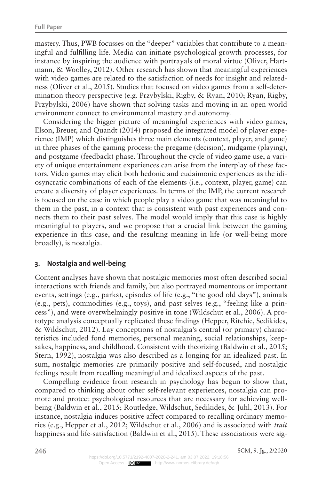mastery. Thus, PWB focusses on the "deeper" variables that contribute to a meaningful and fulfilling life. Media can initiate psychological growth processes, for instance by inspiring the audience with portrayals of moral virtue (Oliver, Hartmann, & Woolley, 2012). Other research has shown that meaningful experiences with video games are related to the satisfaction of needs for insight and relatedness (Oliver et al., 2015). Studies that focused on video games from a self-determination theory perspective (e.g. Przybylski, Rigby, & Ryan, 2010; Ryan, Rigby, Przybylski, 2006) have shown that solving tasks and moving in an open world environment connect to environmental mastery and autonomy.

Considering the bigger picture of meaningful experiences with video games, Elson, Breuer, and Quandt (2014) proposed the integrated model of player experience (IMP) which distinguishes three main elements (context, player, and game) in three phases of the gaming process: the pregame (decision), midgame (playing), and postgame (feedback) phase. Throughout the cycle of video game use, a variety of unique entertainment experiences can arise from the interplay of these factors. Video games may elicit both hedonic and eudaimonic experiences as the idiosyncratic combinations of each of the elements (i.e., context, player, game) can create a diversity of player experiences. In terms of the IMP, the current research is focused on the case in which people play a video game that was meaningful to them in the past, in a context that is consistent with past experiences and connects them to their past selves. The model would imply that this case is highly meaningful to players, and we propose that a crucial link between the gaming experience in this case, and the resulting meaning in life (or well-being more broadly), is nostalgia.

#### **3. Nostalgia and well-being**

Content analyses have shown that nostalgic memories most often described social interactions with friends and family, but also portrayed momentous or important events, settings (e.g., parks), episodes of life (e.g., "the good old days"), animals (e.g., pets), commodities (e.g., toys), and past selves (e.g., "feeling like a princess"), and were overwhelmingly positive in tone (Wildschut et al., 2006). A prototype analysis conceptually replicated these findings (Hepper, Ritchie, Sedikides, & Wildschut, 2012). Lay conceptions of nostalgia's central (or primary) characteristics included fond memories, personal meaning, social relationships, keepsakes, happiness, and childhood. Consistent with theorizing (Baldwin et al., 2015; Stern, 1992), nostalgia was also described as a longing for an idealized past. In sum, nostalgic memories are primarily positive and self-focused, and nostalgic feelings result from recalling meaningful and idealized aspects of the past.

Compelling evidence from research in psychology has begun to show that, compared to thinking about other self-relevant experiences, nostalgia can promote and protect psychological resources that are necessary for achieving wellbeing (Baldwin et al., 2015; Routledge, Wildschut, Sedikides, & Juhl, 2013). For instance, nostalgia induces positive affect compared to recalling ordinary memories (e.g., Hepper et al., 2012; Wildschut et al., 2006) and is associated with *trait* happiness and life-satisfaction (Baldwin et al., 2015). These associations were sig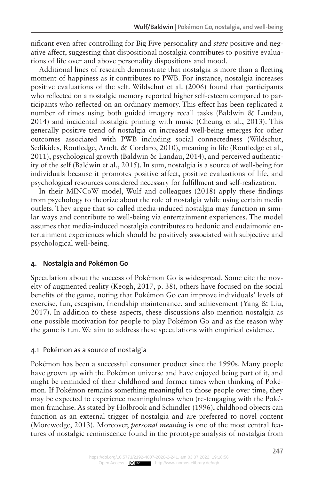nificant even after controlling for Big Five personality and *state* positive and negative affect, suggesting that dispositional nostalgia contributes to positive evaluations of life over and above personality dispositions and mood.

Additional lines of research demonstrate that nostalgia is more than a fleeting moment of happiness as it contributes to PWB. For instance, nostalgia increases positive evaluations of the self. Wildschut et al. (2006) found that participants who reflected on a nostalgic memory reported higher self-esteem compared to participants who reflected on an ordinary memory. This effect has been replicated a number of times using both guided imagery recall tasks (Baldwin & Landau, 2014) and incidental nostalgia priming with music (Cheung et al., 2013). This generally positive trend of nostalgia on increased well-being emerges for other outcomes associated with PWB including social connectedness (Wildschut, Sedikides, Routledge, Arndt, & Cordaro, 2010), meaning in life (Routledge et al., 2011), psychological growth (Baldwin & Landau, 2014), and perceived authenticity of the self (Baldwin et al., 2015). In sum, nostalgia is a source of well-being for individuals because it promotes positive affect, positive evaluations of life, and psychological resources considered necessary for fulfillment and self-realization.

In their MINCoW model, Wulf and colleagues (2018) apply these findings from psychology to theorize about the role of nostalgia while using certain media outlets. They argue that so-called media-induced nostalgia may function in similar ways and contribute to well-being via entertainment experiences. The model assumes that media-induced nostalgia contributes to hedonic and eudaimonic entertainment experiences which should be positively associated with subjective and psychological well-being.

#### **4. Nostalgia and Pokémon Go**

Speculation about the success of Pokémon Go is widespread. Some cite the novelty of augmented reality (Keogh, 2017, p. 38), others have focused on the social benefits of the game, noting that Pokémon Go can improve individuals' levels of exercise, fun, escapism, friendship maintenance, and achievement (Yang & Liu, 2017). In addition to these aspects, these discussions also mention nostalgia as one possible motivation for people to play Pokémon Go and as the reason why the game is fun. We aim to address these speculations with empirical evidence.

#### 4.1 Pokémon as a source of nostalgia

Pokémon has been a successful consumer product since the 1990s. Many people have grown up with the Pokémon universe and have enjoyed being part of it, and might be reminded of their childhood and former times when thinking of Pokémon. If Pokémon remains something meaningful to those people over time, they may be expected to experience meaningfulness when (re-)engaging with the Pokémon franchise. As stated by Holbrook and Schindler (1996), childhood objects can function as an external trigger of nostalgia and are preferred to novel content (Morewedge, 2013). Moreover, *personal meaning* is one of the most central features of nostalgic reminiscence found in the prototype analysis of nostalgia from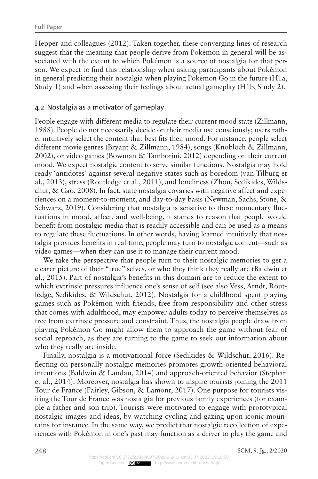Hepper and colleagues (2012). Taken together, these converging lines of research suggest that the meaning that people derive from Pokémon in general will be associated with the extent to which Pokémon is a source of nostalgia for that person. We expect to find this relationship when asking participants about Pokémon in general predicting their nostalgia when playing Pokémon Go in the future (H1a, Study 1) and when assessing their feelings about actual gameplay (H1b, Study 2).

#### 4.2 Nostalgia as a motivator of gameplay

People engage with different media to regulate their current mood state (Zillmann, 1988). People do not necessarily decide on their media use consciously; users rather intuitively select the content that best fits their mood. For instance, people select different movie genres (Bryant & Zillmann, 1984), songs (Knobloch & Zillmann, 2002), or video games (Bowman & Tamborini, 2012) depending on their current mood. We expect nostalgic content to serve similar functions. Nostalgia may hold ready 'antidotes' against several negative states such as boredom (van Tilburg et al., 2013), stress (Routledge et al., 2011), and loneliness (Zhou, Sedikides, Wildschut, & Gao, 2008). In fact, state nostalgia covaries with negative affect and experiences on a moment-to-moment, and day-to-day basis (Newman, Sachs, Stone, & Schwarz, 2019). Considering that nostalgia is sensitive to these momentary fluctuations in mood, affect, and well-being, it stands to reason that people would benefit from nostalgic media that is readily accessible and can be used as a means to regulate these fluctuations. In other words, having learned intuitively that nostalgia provides benefits in real-time, people may turn to nostalgic content—such as video games—when they can use it to manage their current mood.

We take the perspective that people turn to their nostalgic memories to get a clearer picture of their "true" selves, or who they think they really are (Baldwin et al., 2015). Part of nostalgia's benefits in this domain are to reduce the extent to which extrinsic pressures influence one's sense of self (see also Vess, Arndt, Routledge, Sedikides, & Wildschut, 2012). Nostalgia for a childhood spent playing games such as Pokémon with friends, free from responsibility and other stress that comes with adulthood, may empower adults today to perceive themselves as free from extrinsic pressure and constraint. Thus, the nostalgia people draw from playing Pokémon Go might allow them to approach the game without fear of social reproach, as they are turning to the game to seek out information about who they really are inside.

Finally, nostalgia is a motivational force (Sedikides & Wildschut, 2016). Reflecting on personally nostalgic memories promotes growth-oriented behavioral intentions (Baldwin & Landau, 2014) and approach-oriented behavior (Stephan et al., 2014). Moreover, nostalgia has shown to inspire tourists joining the 2011 Tour de France (Fairley, Gibson, & Lamont, 2017). One purpose for tourists visiting the Tour de France was nostalgia for previous family experiences (for example a father and son trip). Tourists were motivated to engage with prototypical nostalgic images and ideas, by watching cycling and gazing upon iconic mountains for instance. In the same way, we predict that nostalgic recollection of experiences with Pokémon in one's past may function as a driver to play the game and

**248** SCM, 9. Jg., 2/2020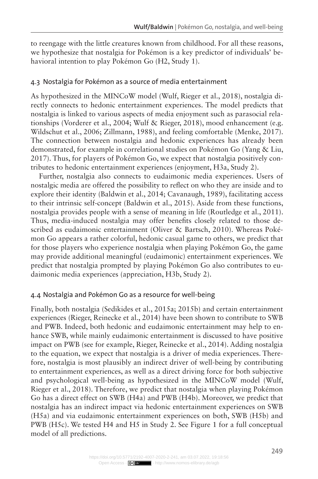to reengage with the little creatures known from childhood. For all these reasons, we hypothesize that nostalgia for Pokémon is a key predictor of individuals' behavioral intention to play Pokémon Go (H2, Study 1).

#### 4.3 Nostalgia for Pokémon as a source of media entertainment

As hypothesized in the MINCoW model (Wulf, Rieger et al., 2018), nostalgia directly connects to hedonic entertainment experiences. The model predicts that nostalgia is linked to various aspects of media enjoyment such as parasocial relationships (Vorderer et al., 2004; Wulf & Rieger, 2018), mood enhancement (e.g. Wildschut et al., 2006; Zillmann, 1988), and feeling comfortable (Menke, 2017). The connection between nostalgia and hedonic experiences has already been demonstrated, for example in correlational studies on Pokémon Go (Yang & Liu, 2017). Thus, for players of Pokémon Go, we expect that nostalgia positively contributes to hedonic entertainment experiences (enjoyment, H3a, Study 2).

Further, nostalgia also connects to eudaimonic media experiences. Users of nostalgic media are offered the possibility to reflect on who they are inside and to explore their identity (Baldwin et al., 2014; Cavanaugh, 1989), facilitating access to their intrinsic self-concept (Baldwin et al., 2015). Aside from these functions, nostalgia provides people with a sense of meaning in life (Routledge et al., 2011). Thus, media-induced nostalgia may offer benefits closely related to those described as eudaimonic entertainment (Oliver & Bartsch, 2010). Whereas Pokémon Go appears a rather colorful, hedonic casual game to others, we predict that for those players who experience nostalgia when playing Pokémon Go, the game may provide additional meaningful (eudaimonic) entertainment experiences. We predict that nostalgia prompted by playing Pokémon Go also contributes to eudaimonic media experiences (appreciation, H3b, Study 2).

#### 4.4 Nostalgia and Pokémon Go as a resource for well-being

Finally, both nostalgia (Sedikides et al., 2015a; 2015b) and certain entertainment experiences (Rieger, Reinecke et al., 2014) have been shown to contribute to SWB and PWB. Indeed, both hedonic and eudaimonic entertainment may help to enhance SWB, while mainly eudaimonic entertainment is discussed to have positive impact on PWB (see for example, Rieger, Reinecke et al., 2014). Adding nostalgia to the equation, we expect that nostalgia is a driver of media experiences. Therefore, nostalgia is most plausibly an indirect driver of well-being by contributing to entertainment experiences, as well as a direct driving force for both subjective and psychological well-being as hypothesized in the MINCoW model (Wulf, Rieger et al., 2018). Therefore, we predict that nostalgia when playing Pokémon Go has a direct effect on SWB (H4a) and PWB (H4b). Moreover, we predict that nostalgia has an indirect impact via hedonic entertainment experiences on SWB (H5a) and via eudaimonic entertainment experiences on both, SWB (H5b) and PWB (H5c). We tested H4 and H5 in Study 2. See Figure 1 for a full conceptual model of all predictions.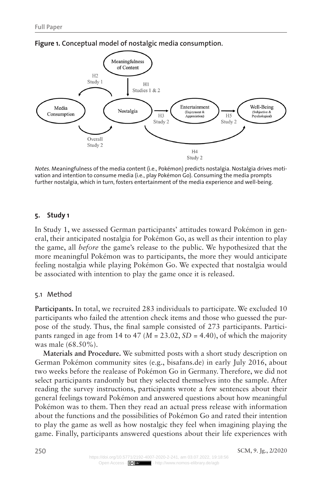

**Figure 1. Conceptual model of nostalgic media consumption.** 

*Notes.* Meaningfulness of the media content (i.e., Pokémon) predicts nostalgia. Nostalgia drives motivation and intention to consume media (i.e., play Pokémon Go). Consuming the media prompts further nostalgia, which in turn, fosters entertainment of the media experience and well-being.

#### **5. Study 1**

In Study 1, we assessed German participants' attitudes toward Pokémon in general, their anticipated nostalgia for Pokémon Go, as well as their intention to play the game, all *before* the game's release to the public. We hypothesized that the more meaningful Pokémon was to participants, the more they would anticipate feeling nostalgia while playing Pokémon Go. We expected that nostalgia would be associated with intention to play the game once it is released.

#### 5.1 Method

**Participants.** In total, we recruited 283 individuals to participate. We excluded 10 participants who failed the attention check items and those who guessed the purpose of the study. Thus, the final sample consisted of 273 participants. Participants ranged in age from 14 to  $47$  ( $M = 23.02$ ,  $SD = 4.40$ ), of which the majority was male (68.50%).

**Materials and Procedure.** We submitted posts with a short study description on German Pokémon community sites (e.g., bisafans.de) in early July 2016, about two weeks before the realease of Pokémon Go in Germany. Therefore, we did not select participants randomly but they selected themselves into the sample. After reading the survey instructions, participants wrote a few sentences about their general feelings toward Pokémon and answered questions about how meaningful Pokémon was to them. Then they read an actual press release with information about the functions and the possibilities of Pokémon Go and rated their intention to play the game as well as how nostalgic they feel when imagining playing the game. Finally, participants answered questions about their life experiences with

**250** SCM, 9. Jg., 2/2020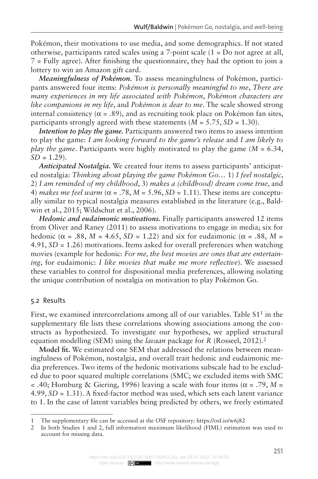Pokémon, their motivations to use media, and some demographics. If not stated otherwise, participants rated scales using a 7-point scale (1 = Do not agree at all, 7 = Fully agree). After finishing the questionnaire, they had the option to join a lottery to win an Amazon gift card.

*Meaningfulness of Pokémon.* To assess meaningfulness of Pokémon, participants answered four items: *Pokémon is personally meaningful to me*, *There are many experiences in my life associated with Pokémon*, *Pokémon characters are like companions in my life*, and *Pokémon is dear to me*. The scale showed strong internal consistency ( $\alpha = .89$ ), and as recruiting took place on Pokémon fan sites, participants strongly agreed with these statements  $(M = 5.75, SD = 1.30)$ .

*Intention to play the game.* Participants answered two items to assess intention to play the game: *I am looking forward to the game's release* and *I am likely to play the game*. Participants were highly motivated to play the game (*M* = 6.34,  $SD = 1.29$ .

*Anticipated Nostalgia.* We created four items to assess participants' anticipated nostalgia: *Thinking about playing the game Pokémon Go…* 1) *I feel nostalgic*, 2) *I am reminded of my childhood*, 3) *makes a (childhood) dream come true*, and 4) *makes me feel warm* ( $\alpha$  = .78, *M* = 5.96, *SD* = 1.11). These items are conceptually similar to typical nostalgia measures established in the literature (e.g., Baldwin et al., 2015; Wildschut et al., 2006).

*Hedonic and eudaimonic motivations.* Finally participants answered 12 items from Oliver and Raney (2011) to assess motivations to engage in media; six for hedonic ( $\alpha$  = .88,  $M = 4.65$ ,  $SD = 1.22$ ) and six for eudaimonic ( $\alpha$  = .88,  $M =$ 4.91, *SD* = 1.26) motivations. Items asked for overall preferences when watching movies (example for hedonic: *For me, the best movies are ones that are entertaining*, for eudaimonic: *I like movies that make me more reflective*). We assessed these variables to control for dispositional media preferences, allowing isolating the unique contribution of nostalgia on motivation to play Pokémon Go.

#### 5.2 Results

First, we examined intercorrelations among all of our variables. Table  $S1<sup>1</sup>$  in the supplementary file lists these correlations showing associations among the constructs as hypothesized. To investigate our hypotheses, we applied structural equation modelling (SEM) using the *lavaan* package for *R* (Rosseel, 2012).2

**Model fit.** We estimated one SEM that addressed the relations between meaningfulness of Pokémon, nostalgia, and overall trait hedonic and eudaimonic media preferences. Two items of the hedonic motivations subscale had to be excluded due to poor squared multiple correlations (SMC; we excluded items with SMC  $<$  .40; Homburg & Giering, 1996) leaving a scale with four items ( $\alpha$  = .79, *M* = 4.99, *SD* = 1.31). A fixed-factor method was used, which sets each latent variance to 1. In the case of latent variables being predicted by others, we freely estimated

<sup>1</sup> The supplementary file can be accessed at the OSF repository: <https://osf.io/w6j82>

<sup>2</sup> In both Studies 1 and 2, full information maximum likelihood (FIML) estimation was used to account for missing data.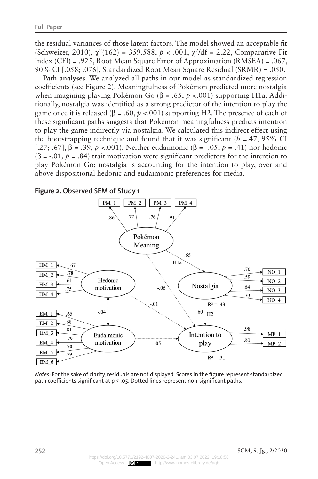the residual variances of those latent factors. The model showed an acceptable fit (Schweizer, 2010),  $\chi^2(162) = 359.588$ ,  $p < .001$ ,  $\chi^2/df = 2.22$ , Comparative Fit Index (CFI) = .925, Root Mean Square Error of Approximation (RMSEA) = .067, 90% CI [.058; .076], Standardized Root Mean Square Residual (SRMR) = .050.

**Path analyses.** We analyzed all paths in our model as standardized regression coefficients (see Figure 2). Meaningfulness of Pokémon predicted more nostalgia when imagining playing Pokémon Go (β = .65, *p* <.001) supporting H1a. Additionally, nostalgia was identified as a strong predictor of the intention to play the game once it is released ( $\beta = .60$ ,  $p < .001$ ) supporting H2. The presence of each of these significant paths suggests that Pokémon meaningfulness predicts intention to play the game indirectly via nostalgia. We calculated this indirect effect using the bootstrapping technique and found that it was significant  $(b = .47, 95\% \text{ CI}$ [.27; .67], β = .39, *p* <.001). Neither eudaimonic (β = -.05, *p* = .41) nor hedonic ( $\beta$  = -.01,  $p$  = .84) trait motivation were significant predictors for the intention to play Pokémon Go; nostalgia is accounting for the intention to play, over and above dispositional hedonic and eudaimonic preferences for media.

**Figure 2. Observed SEM of Study 1**



*Notes:* For the sake of clarity, residuals are not displayed. Scores in the figure represent standardized path coefficients significant at p < .05. Dotted lines represent non-significant paths.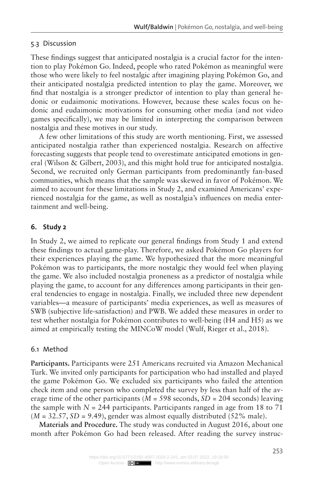#### 5.3 Discussion

These findings suggest that anticipated nostalgia is a crucial factor for the intention to play Pokémon Go. Indeed, people who rated Pokémon as meaningful were those who were likely to feel nostalgic after imagining playing Pokémon Go, and their anticipated nostalgia predicted intention to play the game. Moreover, we find that nostalgia is a stronger predictor of intention to play than general hedonic or eudaimonic motivations. However, because these scales focus on hedonic and eudaimonic motivations for consuming other media (and not video games specifically), we may be limited in interpreting the comparison between nostalgia and these motives in our study.

A few other limitations of this study are worth mentioning. First, we assessed anticipated nostalgia rather than experienced nostalgia. Research on affective forecasting suggests that people tend to overestimate anticipated emotions in general (Wilson & Gilbert, 2003), and this might hold true for anticipated nostalgia. Second, we recruited only German participants from predominantly fan-based communities, which means that the sample was skewed in favor of Pokémon. We aimed to account for these limitations in Study 2, and examined Americans' experienced nostalgia for the game, as well as nostalgia's influences on media entertainment and well-being.

### **6. Study 2**

In Study 2, we aimed to replicate our general findings from Study 1 and extend these findings to actual game-play. Therefore, we asked Pokémon Go players for their experiences playing the game. We hypothesized that the more meaningful Pokémon was to participants, the more nostalgic they would feel when playing the game. We also included nostalgia proneness as a predictor of nostalgia while playing the game, to account for any differences among participants in their general tendencies to engage in nostalgia. Finally, we included three new dependent variables—a measure of participants' media experiences, as well as measures of SWB (subjective life-satisfaction) and PWB. We added these measures in order to test whether nostalgia for Pokémon contributes to well-being (H4 and H5) as we aimed at empirically testing the MINCoW model (Wulf, Rieger et al., 2018).

#### 6.1 Method

**Participants.** Participants were 251 Americans recruited via Amazon Mechanical Turk. We invited only participants for participation who had installed and played the game Pokémon Go. We excluded six participants who failed the attention check item and one person who completed the survey by less than half of the average time of the other participants  $(M = 598$  seconds,  $SD = 204$  seconds) leaving the sample with  $N = 244$  participants. Participants ranged in age from 18 to 71  $(M = 32.57, SD = 9.49)$ , gender was almost equally distributed (52% male).

**Materials and Procedure.** The study was conducted in August 2016, about one month after Pokémon Go had been released. After reading the survey instruc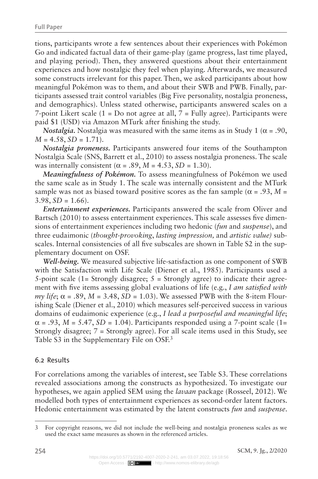tions, participants wrote a few sentences about their experiences with Pokémon Go and indicated factual data of their game-play (game progress, last time played, and playing period). Then, they answered questions about their entertainment experiences and how nostalgic they feel when playing. Afterwards, we measured some constructs irrelevant for this paper. Then, we asked participants about how meaningful Pokémon was to them, and about their SWB and PWB. Finally, participants assessed trait control variables (Big Five personality, nostalgia proneness, and demographics). Unless stated otherwise, participants answered scales on a 7-point Likert scale  $(1 = Do not agree at all, 7 = Fully agree)$ . Participants were paid \$1 (USD) via Amazon MTurk after finishing the study.

*Nostalgia*. Nostalgia was measured with the same items as in Study 1 ( $\alpha$  = .90,  $M = 4.58$ ,  $SD = 1.71$ .

*Nostalgia proneness.* Participants answered four items of the Southampton Nostalgia Scale (SNS, Barrett et al., 2010) to assess nostalgia proneness. The scale was internally consistent ( $\alpha$  = .89,  $M$  = 4.53,  $SD$  = 1.30).

*Meaningfulness of Pokémon.* To assess meaningfulness of Pokémon we used the same scale as in Study 1. The scale was internally consistent and the MTurk sample was not as biased toward positive scores as the fan sample ( $\alpha = .93$ ,  $M =$  $3.98, SD = 1.66$ .

*Entertainment experiences.* Participants answered the scale from Oliver and Bartsch (2010) to assess entertainment experiences. This scale assesses five dimensions of entertainment experiences including two hedonic (*fun* and *suspense*), and three eudaimonic (*thought-provoking*, *lasting impression,* and *artistic value)* subscales. Internal consistencies of all five subscales are shown in Table S2 in the supplementary document on OSF.

*Well-being.* We measured subjective life-satisfaction as one component of SWB with the Satisfaction with Life Scale (Diener et al., 1985). Participants used a 5-point scale (1= Strongly disagree;  $5 =$  Strongly agree) to indicate their agreement with five items assessing global evaluations of life (e.g., *I am satisfied with my life*;  $\alpha$  = .89, *M* = 3.48, *SD* = 1.03). We assessed PWB with the 8-item Flourishing Scale (Diener et al., 2010) which measures self-perceived success in various domains of eudaimonic experience (e.g., *I lead a purposeful and meaningful life*;  $\alpha$  = .93, *M* = 5.47, *SD* = 1.04). Participants responded using a 7-point scale (1= Strongly disagree; 7 = Strongly agree). For all scale items used in this Study, see Table S3 in the Supplementary File on OSF.3

#### 6.2 Results

For correlations among the variables of interest, see Table S3. These correlations revealed associations among the constructs as hypothesized. To investigate our hypotheses, we again applied SEM using the *lavaan* package (Rosseel, 2012). We modelled both types of entertainment experiences as second-order latent factors. Hedonic entertainment was estimated by the latent constructs *fun* and *suspense*.

<sup>3</sup> For copyright reasons, we did not include the well-being and nostalgia proneness scales as we used the exact same measures as shown in the referenced articles.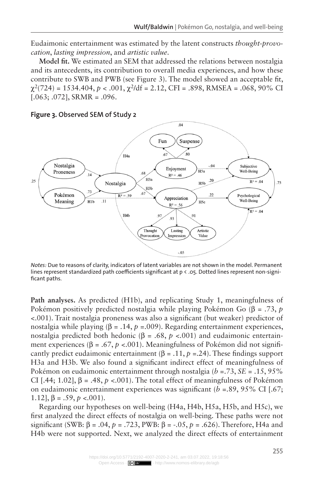Eudaimonic entertainment was estimated by the latent constructs *thought-provocation*, *lasting impression*, and *artistic value*.

**Model fit.** We estimated an SEM that addressed the relations between nostalgia and its antecedents, its contribution to overall media experiences, and how these contribute to SWB and PWB (see Figure 3). The model showed an acceptable fit,  $\gamma^2$ (724) = 1534.404,  $p < .001$ ,  $\gamma^2$ /df = 2.12, CFI = .898, RMSEA = .068, 90% CI  $[0.063; 0.072]$ , SRMR =  $0.096$ .



#### **Figure 3. Observed SEM of Study 2**

*Notes:* Due to reasons of clarity, indicators of latent variables are not shown in the model. Permanent lines represent standardized path coefficients significant at p < .05. Dotted lines represent non-significant paths.

**Path analyses.** As predicted (H1b), and replicating Study 1, meaningfulness of Pokémon positively predicted nostalgia while playing Pokémon Go (β = .73, *p* <.001). Trait nostalgia proneness was also a significant (but weaker) predictor of nostalgia while playing  $(\beta = .14, p = .009)$ . Regarding entertainment experiences, nostalgia predicted both hedonic ( $β = .68, p < .001$ ) and eudaimonic entertainment experiences ( $\beta = .67$ ,  $p < .001$ ). Meaningfulness of Pokémon did not significantly predict eudaimonic entertainment ( $\beta$  = .11,  $p$  = .24). These findings support H3a and H3b. We also found a significant indirect effect of meaningfulness of Pokémon on eudaimonic entertainment through nostalgia (*b* =.73, *SE* = .15, 95% CI [.44; 1.02],  $\beta = .48$ ,  $p \le 0.001$ ). The total effect of meaningfulness of Pokémon on eudaimonic entertainment experiences was significant  $(b = 0.89, 95\% \text{ CI}$  [.67; 1.12],  $β = .59, p < .001$ ).

Regarding our hypotheses on well-being (H4a, H4b, H5a, H5b, and H5c), we first analyzed the direct effects of nostalgia on well-being. These paths were not significant (SWB: β = .04, *p* = .723, PWB: β = -.05, *p* = .626). Therefore, H4a and H4b were not supported. Next, we analyzed the direct effects of entertainment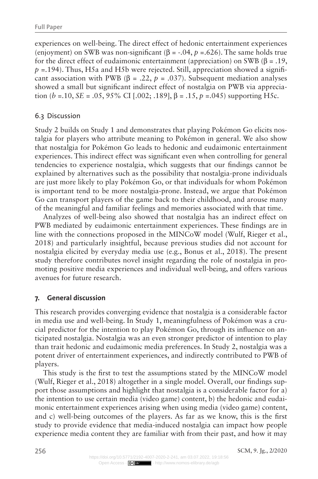experiences on well-being. The direct effect of hedonic entertainment experiences (enjoyment) on SWB was non-significant ( $\beta$  = -.04,  $p$  =.626). The same holds true for the direct effect of eudaimonic entertainment (appreciation) on SWB ( $\beta = .19$ ,  $p = 194$ ). Thus, H5a and H5b were rejected. Still, appreciation showed a significant association with PWB ( $\beta = .22$ ,  $p = .037$ ). Subsequent mediation analyses showed a small but significant indirect effect of nostalgia on PWB via appreciation  $(b = .10, SE = .05, 95\% \text{ CI}$  [.002; .189],  $\beta = .15, p = .045$ ) supporting H5c.

# 6.3 Discussion

Study 2 builds on Study 1 and demonstrates that playing Pokémon Go elicits nostalgia for players who attribute meaning to Pokémon in general. We also show that nostalgia for Pokémon Go leads to hedonic and eudaimonic entertainment experiences. This indirect effect was significant even when controlling for general tendencies to experience nostalgia, which suggests that our findings cannot be explained by alternatives such as the possibility that nostalgia-prone individuals are just more likely to play Pokémon Go, or that individuals for whom Pokémon is important tend to be more nostalgia-prone. Instead, we argue that Pokémon Go can transport players of the game back to their childhood, and arouse many of the meaningful and familiar feelings and memories associated with that time.

Analyzes of well-being also showed that nostalgia has an indirect effect on PWB mediated by eudaimonic entertainment experiences. These findings are in line with the connections proposed in the MINCoW model (Wulf, Rieger et al., 2018) and particularly insightful, because previous studies did not account for nostalgia elicited by everyday media use (e.g., Bonus et al., 2018). The present study therefore contributes novel insight regarding the role of nostalgia in promoting positive media experiences and individual well-being, and offers various avenues for future research.

# **7. General discussion**

This research provides converging evidence that nostalgia is a considerable factor in media use and well-being. In Study 1, meaningfulness of Pokémon was a crucial predictor for the intention to play Pokémon Go, through its influence on anticipated nostalgia. Nostalgia was an even stronger predictor of intention to play than trait hedonic and eudaimonic media preferences. In Study 2, nostalgia was a potent driver of entertainment experiences, and indirectly contributed to PWB of players.

This study is the first to test the assumptions stated by the MINCoW model (Wulf, Rieger et al., 2018) altogether in a single model. Overall, our findings support those assumptions and highlight that nostalgia is a considerable factor for a) the intention to use certain media (video game) content, b) the hedonic and eudaimonic entertainment experiences arising when using media (video game) content, and c) well-being outcomes of the players. As far as we know, this is the first study to provide evidence that media-induced nostalgia can impact how people experience media content they are familiar with from their past, and how it may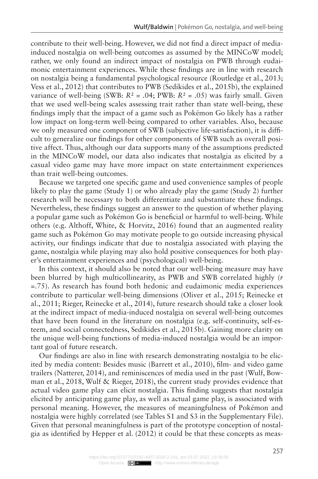contribute to their well-being. However, we did not find a direct impact of mediainduced nostalgia on well-being outcomes as assumed by the MINCoW model; rather, we only found an indirect impact of nostalgia on PWB through eudaimonic entertainment experiences. While these findings are in line with research on nostalgia being a fundamental psychological resource (Routledge et al., 2013; Vess et al., 2012) that contributes to PWB (Sedikides et al., 2015b), the explained variance of well-being (SWB:  $R^2 = .04$ ; PWB:  $R^2 = .05$ ) was fairly small. Given that we used well-being scales assessing trait rather than state well-being, these findings imply that the impact of a game such as Pokémon Go likely has a rather low impact on long-term well-being compared to other variables. Also, because we only measured one component of SWB (subjective life-satisfaction), it is difficult to generalize our findings for other components of SWB such as overall positive affect. Thus, although our data supports many of the assumptions predicted in the MINCoW model, our data also indicates that nostalgia as elicited by a casual video game may have more impact on state entertainment experiences than trait well-being outcomes.

Because we targeted one specific game and used convenience samples of people likely to play the game (Study 1) or who already play the game (Study 2) further research will be necessary to both differentiate and substantiate these findings. Nevertheless, these findings suggest an answer to the question of whether playing a popular game such as Pokémon Go is beneficial or harmful to well-being. While others (e.g. Althoff, White, & Horvitz, 2016) found that an augmented reality game such as Pokémon Go may motivate people to go outside increasing physical activity, our findings indicate that due to nostalgia associated with playing the game, nostalgia while playing may also hold positive consequences for both player's entertainment experiences and (psychological) well-being.

In this context, it should also be noted that our well-being measure may have been blurred by high multicollinearity, as PWB and SWB correlated highly (*r* =.75). As research has found both hedonic and eudaimonic media experiences contribute to particular well-being dimensions (Oliver et al., 2015; Reinecke et al., 2011; Rieger, Reinecke et al., 2014), future research should take a closer look at the indirect impact of media-induced nostalgia on several well-being outcomes that have been found in the literature on nostalgia (e.g. self-continuity, self-esteem, and social connectedness, Sedikides et al., 2015b). Gaining more clarity on the unique well-being functions of media-induced nostalgia would be an important goal of future research.

Our findings are also in line with research demonstrating nostalgia to be elicited by media content: Besides music (Barrett et al., 2010), film- and video game trailers (Natterer, 2014), and reminiscences of media used in the past (Wulf, Bowman et al., 2018, Wulf & Rieger, 2018), the current study provides evidence that actual video game play can elicit nostalgia. This finding suggests that nostalgia elicited by anticipating game play, as well as actual game play, is associated with personal meaning. However, the measures of meaningfulness of Pokémon and nostalgia were highly correlated (see Tables S1 and S3 in the Supplementary File). Given that personal meaningfulness is part of the prototype conception of nostalgia as identified by Hepper et al. (2012) it could be that these concepts as meas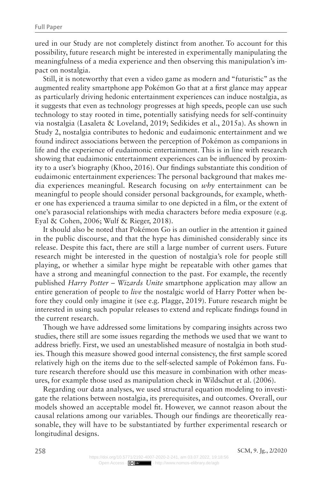ured in our Study are not completely distinct from another. To account for this possibility, future research might be interested in experimentally manipulating the meaningfulness of a media experience and then observing this manipulation's impact on nostalgia.

Still, it is noteworthy that even a video game as modern and "futuristic" as the augmented reality smartphone app Pokémon Go that at a first glance may appear as particularly driving hedonic entertainment experiences can induce nostalgia, as it suggests that even as technology progresses at high speeds, people can use such technology to stay rooted in time, potentially satisfying needs for self-continuity via nostalgia (Lasaleta & Loveland, 2019; Sedikides et al., 2015a). As shown in Study 2, nostalgia contributes to hedonic and eudaimonic entertainment and we found indirect associations between the perception of Pokémon as companions in life and the experience of eudaimonic entertainment. This is in line with research showing that eudaimonic entertainment experiences can be influenced by proximity to a user's biography (Khoo, 2016). Our findings substantiate this condition of eudaimonic entertainment experiences: The personal background that makes media experiences meaningful. Research focusing on *why* entertainment can be meaningful to people should consider personal backgrounds, for example, whether one has experienced a trauma similar to one depicted in a film, or the extent of one's parasocial relationships with media characters before media exposure (e.g. Eyal & Cohen, 2006; Wulf & Rieger, 2018).

It should also be noted that Pokémon Go is an outlier in the attention it gained in the public discourse, and that the hype has diminished considerably since its release. Despite this fact, there are still a large number of current users. Future research might be interested in the question of nostalgia's role for people still playing, or whether a similar hype might be repeatable with other games that have a strong and meaningful connection to the past. For example, the recently published *Harry Potter – Wizards Unite* smartphone application may allow an entire generation of people to *live* the nostalgic world of Harry Potter when before they could only imagine it (see e.g. Plagge, 2019). Future research might be interested in using such popular releases to extend and replicate findings found in the current research.

Though we have addressed some limitations by comparing insights across two studies, there still are some issues regarding the methods we used that we want to address briefly. First, we used an unestablished measure of nostalgia in both studies. Though this measure showed good internal consistency, the first sample scored relatively high on the items due to the self-selected sample of Pokémon fans. Future research therefore should use this measure in combination with other measures, for example those used as manipulation check in Wildschut et al. (2006).

Regarding our data analyses, we used structural equation modeling to investigate the relations between nostalgia, its prerequisites, and outcomes. Overall, our models showed an acceptable model fit. However, we cannot reason about the causal relations among our variables. Though our findings are theoretically reasonable, they will have to be substantiated by further experimental research or longitudinal designs.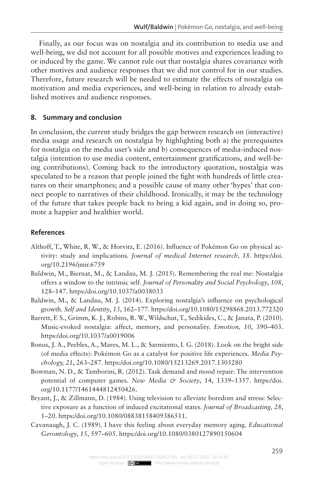Finally, as our focus was on nostalgia and its contribution to media use and well-being, we did not account for all possible motives and experiences leading to or induced by the game. We cannot rule out that nostalgia shares covariance with other motives and audience responses that we did not control for in our studies. Therefore, future research will be needed to estimate the effects of nostalgia on motivation and media experiences, and well-being in relation to already established motives and audience responses.

## **8. Summary and conclusion**

In conclusion, the current study bridges the gap between research on (interactive) media usage and research on nostalgia by highlighting both a) the prerequisites for nostalgia on the media user's side and b) consequences of media-induced nostalgia (intention to use media content, entertainment gratifications, and well-being contributions). Coming back to the introductory quotation, nostalgia was speculated to be a reason that people joined the fight with hundreds of little creatures on their smartphones; and a possible cause of many other 'hypes' that connect people to narratives of their childhood. Ironically, it may be the technology of the future that takes people back to being a kid again, and in doing so, promote a happier and healthier world.

### **References**

- Althoff, T., White, R. W., & Horvitz, E. (2016). Influence of Pokémon Go on physical activity: study and implications*. Journal of medical Internet research, 18*. [https:/doi.](https:/doi.org/10.2196/jmir.6759) [org/10.2196/jmir.6759](https:/doi.org/10.2196/jmir.6759)
- Baldwin, M., Biernat, M., & Landau, M. J. (2015). Remembering the real me: Nostalgia offers a window to the intrinsic self. *Journal of Personality and Social Psychology*, *108*, 128–147. <https:/doi.org/10.1037/a0038033>
- Baldwin, M., & Landau, M. J. (2014). Exploring nostalgia's influence on psychological growth*. Self and Identity*, *13*, 162–177.<https:/doi.org/10.1080/15298868.2013.772320>
- Barrett, F. S., Grimm, K. J., Robins, R. W., Wildschut, T., Sedikides, C., & Janata, P. (2010). Music-evoked nostalgia: affect, memory, and personality. *Emotion, 10*, 390–403. <https:/doi.org/10.1037/a0019006>
- Bonus, J. A., Peebles, A., Mares, M. L., & Sarmiento, I. G. (2018). Look on the bright side (of media effects): Pokémon Go as a catalyst for positive life experiences. *Media Psychology, 21*, 263–287. <https:/doi.org/10.1080/15213269.2017.1305280>
- Bowman, N. D., & Tamborini, R. (2012). Task demand and mood repair: The intervention potential of computer games. *New Media & Society*, 14, 1339–1357. [https:/doi.](https:/doi.org/10.1177/1461444812450426) [org/10.1177/1461444812450426](https:/doi.org/10.1177/1461444812450426).
- Bryant, J., & Zillmann, D. (1984). Using television to alleviate boredom and stress: Selective exposure as a function of induced excitational states. *Journal of Broadcasting, 28*, 1–20. [https:/doi.org/10.1080/08838158409386511.](https:/doi.org/10.1080/08838158409386511)
- Cavanaugh, J. C. (1989). I have this feeling about everyday memory aging. *Educational Gerontology*, *15*, 597–605. <https:/doi.org/10.1080/0380127890150604>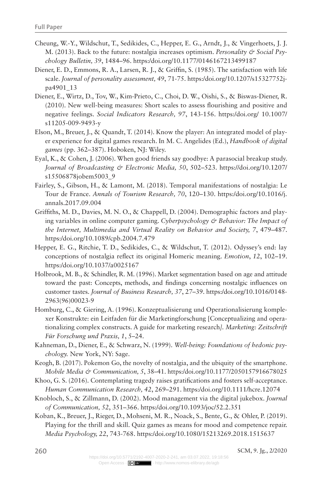- Cheung, W.-Y., Wildschut, T., Sedikides, C., Hepper, E. G., Arndt, J., & Vingerhoets, J. J. M. (2013). Back to the future: nostalgia increases optimism. *Personality & Social Psychology Bulletin, 39*, 1484–96.<https:/doi.org/10.1177/0146167213499187>
- Diener, E. D., Emmons, R. A., Larsen, R. J., & Griffin, S. (1985). The satisfaction with life scale. *Journal of personality assessment, 49*, 71-75. [https:/doi.org/10.1207/s15327752j](https:/doi.org/10.1207/s15327752jpa4901_13)[pa4901\\_13](https:/doi.org/10.1207/s15327752jpa4901_13)
- Diener, E., Wirtz, D., Tov, W., Kim-Prieto, C., Choi, D. W., Oishi, S., & Biswas-Diener, R. (2010). New well-being measures: Short scales to assess flourishing and positive and negative feelings. *Social Indicators Research, 97*, 143-156. [https:/doi.org/ 10.1007/](https:/doi.org/10.1007/s11205-009-9493-y) [s11205-009-9493-y](https:/doi.org/10.1007/s11205-009-9493-y)
- Elson, M., Breuer, J., & Quandt, T. (2014). Know the player: An integrated model of player experience for digital games research. In M. C. Angelides (Ed.), *Handbook of digital games* (pp. 362–387). Hoboken, NJ: Wiley.
- Eyal, K., & Cohen, J. (2006). When good friends say goodbye: A parasocial breakup study. *Journal of Broadcasting & Electronic Media, 50*, 502–523. [https://doi.org/10.1207/](https://doi.org/10.1207/s15506878jobem5003_9) [s15506878jobem5003\\_9](https://doi.org/10.1207/s15506878jobem5003_9)
- Fairley, S., Gibson, H., & Lamont, M. (2018). Temporal manifestations of nostalgia: Le Tour de France. *Annals of Tourism Research, 70*, 120–130. [https:/doi.org/10.1016/j.](https:/doi.org/10.1016/j.annals.2017.09.004) [annals.2017.09.004](https:/doi.org/10.1016/j.annals.2017.09.004)
- Griffiths, M. D., Davies, M. N. O., & Chappell, D. (2004). Demographic factors and playing variables in online computer gaming. Cyberpsychology & Behavior: The Impact of *the Internet, Multimedia and Virtual Reality on Behavior and Society, 7*, 479–487. <https:/doi.org/10.1089/cpb.2004.7.479>
- Hepper, E. G., Ritchie, T. D., Sedikides, C., & Wildschut, T. (2012). Odyssey's end: lay conceptions of nostalgia reflect its original Homeric meaning. *Emotion*, *12*, 102–19. <https:/doi.org/10.1037/a0025167>
- Holbrook, M. B., & Schindler, R. M. (1996). Market segmentation based on age and attitude toward the past: Concepts, methods, and findings concerning nostalgic influences on customer tastes. *Journal of Business Research, 37*, 27–39. [https:/doi.org/10.1016/0148-](https:/doi.org/10.1016/0148-2963(96)00023-9) [2963\(96\)00023-9](https:/doi.org/10.1016/0148-2963(96)00023-9)
- Homburg, C., & Giering, A. (1996). Konzeptualisierung und Operationalisierung komplexer Konstrukte: ein Leitfaden für die Marketingforschung [Conceptualizing and operationalizing complex constructs. A guide for marketing research*]. Marketing: Zeitschrift Für Forschung und Praxis, 1*, 5–24.
- Kahneman, D., Diener, E., & Schwarz, N. (1999). *Well-being: Foundations of hedonic psychology.* New York, NY: Sage.
- Keogh, B. (2017). Pokemon Go, the novelty of nostalgia, and the ubiquity of the smartphone. *Mobile Media & Communication, 5*, 38–41. https:/doi.org/10.1177/2050157916678025
- Khoo, G. S. (2016). Contemplating tragedy raises gratifications and fosters self-acceptance. *Human Communication Research, 42*, 269–291.<https:/doi.org/10.1111/hcre.12074>
- Knobloch, S., & Zillmann, D. (2002). Mood management via the digital jukebox. *Journal of Communication, 52*, 351–366.<https:/doi.org/10.1093/joc/52.2.351>
- Koban, K., Breuer, J., Rieger, D., Mohseni, M. R., Noack, S., Bente, G., & Ohler, P. (2019). Playing for the thrill and skill. Quiz games as means for mood and competence repair. *Media Psychology, 22*, 743-768.<https:/doi.org/10.1080/15213269.2018.1515637>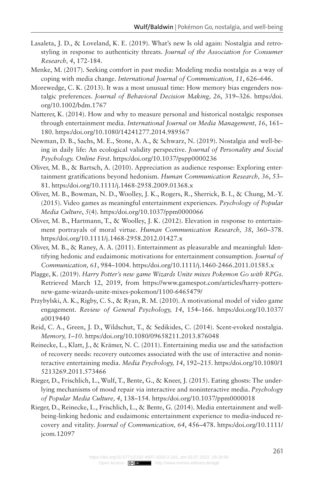- Lasaleta, J. D., & Loveland, K. E. (2019). What's new Is old again: Nostalgia and retrostyling in response to authenticity threats. *Journal of the Association for Consumer Research, 4*, 172-184.
- Menke, M. (2017). Seeking comfort in past media: Modeling media nostalgia as a way of coping with media change. *International Journal of Communication, 11*, 626–646.
- Morewedge, C. K. (2013). It was a most unusual time: How memory bias engenders nostalgic preferences. *Journal of Behavioral Decision Making, 26*, 319–326. [https:/doi.](https:/doi.org/10.1002/bdm.1767) [org/10.1002/bdm.1767](https:/doi.org/10.1002/bdm.1767)
- Natterer, K. (2014). How and why to measure personal and historical nostalgic responses through entertainment media. *International Journal on Media Management, 16*, 161– 180.<https:/doi.org/10.1080/14241277.2014.989567>
- Newman, D. B., Sachs, M. E., Stone, A. A., & Schwarz, N. (2019). Nostalgia and well-being in daily life: An ecological validity perspective. *Journal of Personality and Social Psychology. Online First*.<https:/doi.org/10.1037/pspp0000236>
- Oliver, M. B., & Bartsch, A. (2010). Appreciation as audience response: Exploring entertainment gratifications beyond hedonism. *Human Communication Research, 36*, 53– 81.<https:/doi.org/10.1111/j.1468-2958.2009.01368.x>
- Oliver, M. B., Bowman, N. D., Woolley, J. K., Rogers, R., Sherrick, B. I., & Chung, M.-Y. (2015). Video games as meaningful entertainment experiences. *Psychology of Popular Media Culture*, *5*(4). <https:/doi.org/10.1037/ppm0000066>
- Oliver, M. B., Hartmann, T., & Woolley, J. K. (2012). Elevation in response to entertainment portrayals of moral virtue. *Human Communication Research, 38*, 360–378. <https:/doi.org/10.1111/j.1468-2958.2012.01427.x>
- Oliver, M. B., & Raney, A. A. (2011). Entertainment as pleasurable and meaningful: Identifying hedonic and eudaimonic motivations for entertainment consumption. *Journal of Communication, 61*, 984–1004.<https:/doi.org/10.1111/j.1460-2466.2011.01585.x>
- Plagge, K. (2019). *Harry Potter's new game Wizards Unite mixes Pokemon Go with RPGs.*  Retrieved March 12, 2019, from [https://www.gamespot.com/articles/harry-potters](https://www.gamespot.com/articles/harry-potters-new-game-wizards-unite-mixes-pokemon/1100-6465479/)[new-game-wizards-unite-mixes-pokemon/1100-6465479/](https://www.gamespot.com/articles/harry-potters-new-game-wizards-unite-mixes-pokemon/1100-6465479/)
- Przybylski, A. K., Rigby, C. S., & Ryan, R. M. (2010). A motivational model of video game engagement. *Review of General Psychology, 14*, 154–166. [https:/doi.org/10.1037/](https:/doi.org/10.1037/a0019440) [a0019440](https:/doi.org/10.1037/a0019440)
- Reid, C. A., Green, J. D., Wildschut, T., & Sedikides, C. (2014). Scent-evoked nostalgia. *Memory, 1–10*. <https:/doi.org/10.1080/09658211.2013.876048>
- Reinecke, L., Klatt, J., & Krämer, N. C. (2011). Entertaining media use and the satisfaction of recovery needs: recovery outcomes associated with the use of interactive and noninteractive entertaining media. *Media Psychology, 14*, 192–215. [https:/doi.org/10.1080/1](https:/doi.org/10.1080/15213269.2011.573466) [5213269.2011.573466](https:/doi.org/10.1080/15213269.2011.573466)
- Rieger, D., Frischlich, L., Wulf, T., Bente, G., & Kneer, J. (2015). Eating ghosts: The underlying mechanisms of mood repair via interactive and noninteractive media. *Psychology of Popular Media Culture, 4*, 138–154.<https:/doi.org/10.1037/ppm0000018>
- Rieger, D., Reinecke, L., Frischlich, L., & Bente, G. (2014). Media entertainment and wellbeing-linking hedonic and eudaimonic entertainment experience to media-induced recovery and vitality. *Journal of Communication, 64*, 456–478. [https:/doi.org/10.1111/](https:/doi.org/10.1111/jcom.12097) [jcom.12097](https:/doi.org/10.1111/jcom.12097)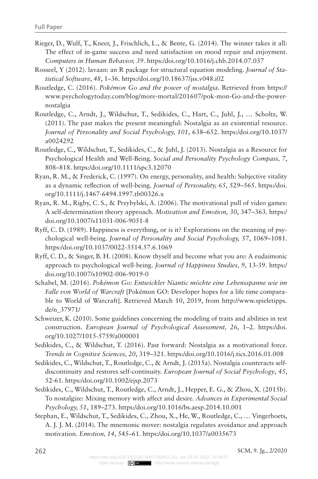- Rieger, D., Wulf, T., Kneer, J., Frischlich, L., & Bente, G. (2014). The winner takes it all: The effect of in-game success and need satisfaction on mood repair and enjoyment. *Computers in Human Behavior, 39*.<https:/doi.org/10.1016/j.chb.2014.07.037>
- Rosseel, Y (2012). lavaan: an R package for structural equation modeling. *Journal of Statistical Software*, *48*, 1–36.<https:/doi.org/10.18637/jss.v048.i02>
- Routledge, C. (2016). *Pokémon Go and the power of nostalgia*. Retrieved from [https://](https://www.psychologytoday.com/blog/more-mortal/201607/pok-mon-Go-and-the-power-nostalgia) [www.psychologytoday.com/blog/more-mortal/201607/pok-mon-Go-and-the-power](https://www.psychologytoday.com/blog/more-mortal/201607/pok-mon-Go-and-the-power-nostalgia)[nostalgia](https://www.psychologytoday.com/blog/more-mortal/201607/pok-mon-Go-and-the-power-nostalgia)
- Routledge, C., Arndt, J., Wildschut, T., Sedikides, C., Hart, C., Juhl, J., … Scholtz, W. (2011). The past makes the present meaningful: Nostalgia as an existential resource. *Journal of Personality and Social Psychology, 101*, 638–652. [https:/doi.org/10.1037/](https:/doi.org/10.1037/a0024292) [a0024292](https:/doi.org/10.1037/a0024292)
- Routledge, C., Wildschut, T., Sedikides, C., & Juhl, J. (2013). Nostalgia as a Resource for Psychological Health and Well-Being. *Social and Personality Psychology Compass, 7*, 808–818. <https:/doi.org/10.1111/spc3.12070>
- Ryan, R. M., & Frederick, C. (1997). On energy, personality, and health: Subjective vitality as a dynamic reflection of well-being. *Journal of Personality, 65*, 529–565. [https:/doi.](https:/doi.org/10.1111/j.1467-6494.1997.tb00326.x) [org/10.1111/j.1467-6494.1997.tb00326.x](https:/doi.org/10.1111/j.1467-6494.1997.tb00326.x)
- Ryan, R. M., Rigby, C. S., & Przybylski, A. (2006). The motivational pull of video games: A self-determination theory approach. *Motivation and Emotion, 30*, 347–363. [https:/](https:/doi.org/10.1007/s11031-006-9051-8) [doi.org/10.1007/s11031-006-9051-8](https:/doi.org/10.1007/s11031-006-9051-8)
- Ryff, C. D. (1989). Happiness is everything, or is it? Explorations on the meaning of psychological well-being*. Journal of Personality and Social Psychology, 57*, 1069–1081. <https:/doi.org/10.1037/0022-3514.57.6.1069>
- Ryff, C. D., & Singer, B. H. (2008). Know thyself and become what you are: A eudaimonic approach to psychological well-being. *Journal of Happiness Studies, 9*, 13-39. [https:/](https:/doi.org/10.1007/s10902-006-9019-0) [doi.org/10.1007/s10902-006-9019-0](https:/doi.org/10.1007/s10902-006-9019-0)
- Schabel, M. (2016). *Pokémon Go: Entwickler Niantic möchte eine Lebensspanne wie im Falle von World of Warcraft* [Pokémon GO: Developer hopes for a life time comparable to World of Warcraft]. Retrieved March 10, 2019, from [http://www.spieletipps.](http://www.spieletipps.de/n_37971/) [de/n\\_37971/](http://www.spieletipps.de/n_37971/)
- Schweizer, K. (2010). Some guidelines concerning the modeling of traits and abilities in test construction. *European Journal of Psychological Assessment, 26*, 1–2. [https:/doi.](https:/doi.org/10.1027/1015-5759/a000001) [org/10.1027/1015-5759/a000001](https:/doi.org/10.1027/1015-5759/a000001)
- Sedikides, C., & Wildschut, T. (2016). Past forward: Nostalgia as a motivational force. *Trends in Cognitive Sciences, 20*, 319–321.<https:/doi.org/10.1016/j.tics.2016.01.008>
- Sedikides, C., Wildschut, T., Routledge, C., & Arndt, J. (2015a). Nostalgia counteracts selfdiscontinuity and restores self-continuity. *European Journal of Social Psychology*, *45*, 52-61.<https:/doi.org/10.1002/ejsp.2073>
- Sedikides, C., Wildschut, T., Routledge, C., Arndt, J., Hepper, E. G., & Zhou, X. (2015b). To nostalgize: Mixing memory with affect and desire. *Advances in Experimental Social Psychology, 51*, 189–273. <https:/doi.org/10.1016/bs.aesp.2014.10.001>
- Stephan, E., Wildschut, T., Sedikides, C., Zhou, X., He, W., Routledge, C., … Vingerhoets, A. J. J. M. (2014). The mnemonic mover: nostalgia regulates avoidance and approach motivation. *Emotion, 14*, 545–61.<https:/doi.org/10.1037/a0035673>